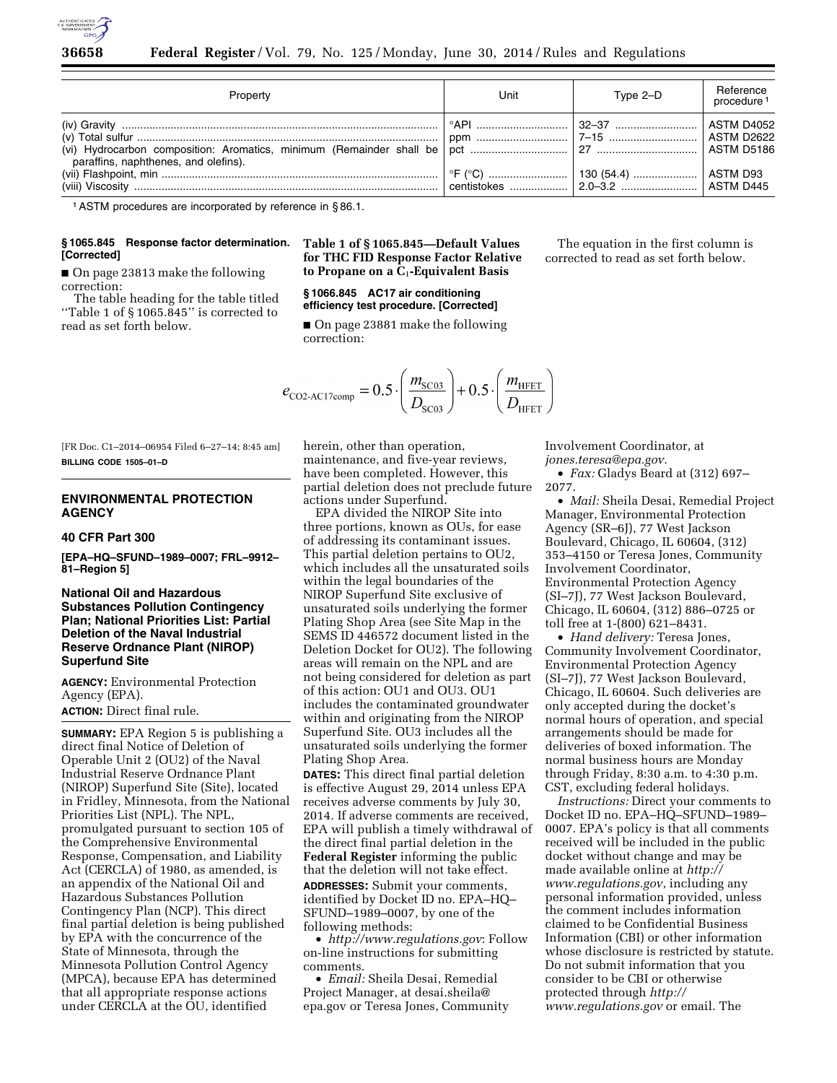

| Property                             | Unit | Type 2-D | Reference<br>procedure <sup>1</sup> |
|--------------------------------------|------|----------|-------------------------------------|
| paraffins, naphthenes, and olefins). |      |          |                                     |
|                                      |      |          |                                     |

1ASTM procedures are incorporated by reference in § 86.1.

### **§ 1065.845 Response factor determination. [Corrected]**

■ On page 23813 make the following correction:

The table heading for the table titled ''Table 1 of § 1065.845'' is corrected to read as set forth below.

# **Table 1 of § 1065.845—Default Values for THC FID Response Factor Relative to Propane on a C**1**-Equivalent Basis**

# **§ 1066.845 AC17 air conditioning efficiency test procedure. [Corrected]**

■ On page 23881 make the following correction:

$$
e_{\text{CO2-}\text{AC17comp}} = 0.5 \cdot \left(\frac{m_{\text{SC03}}}{D_{\text{SC03}}}\right) + 0.5 \cdot \left(\frac{m_{\text{HFET}}}{D_{\text{HFET}}}\right)
$$

[FR Doc. C1–2014–06954 Filed 6–27–14; 8:45 am] **BILLING CODE 1505–01–D** 

# **ENVIRONMENTAL PROTECTION AGENCY**

#### **40 CFR Part 300**

**[EPA–HQ–SFUND–1989–0007; FRL–9912– 81–Region 5]** 

# **National Oil and Hazardous Substances Pollution Contingency Plan; National Priorities List: Partial Deletion of the Naval Industrial Reserve Ordnance Plant (NIROP) Superfund Site**

**AGENCY:** Environmental Protection Agency (EPA). **ACTION:** Direct final rule.

**SUMMARY:** EPA Region 5 is publishing a direct final Notice of Deletion of Operable Unit 2 (OU2) of the Naval Industrial Reserve Ordnance Plant (NIROP) Superfund Site (Site), located in Fridley, Minnesota, from the National Priorities List (NPL). The NPL, promulgated pursuant to section 105 of the Comprehensive Environmental Response, Compensation, and Liability Act (CERCLA) of 1980, as amended, is an appendix of the National Oil and Hazardous Substances Pollution Contingency Plan (NCP). This direct final partial deletion is being published by EPA with the concurrence of the State of Minnesota, through the Minnesota Pollution Control Agency (MPCA), because EPA has determined that all appropriate response actions under CERCLA at the OU, identified

herein, other than operation, maintenance, and five-year reviews, have been completed. However, this partial deletion does not preclude future actions under Superfund.

EPA divided the NIROP Site into three portions, known as OUs, for ease of addressing its contaminant issues. This partial deletion pertains to OU2, which includes all the unsaturated soils within the legal boundaries of the NIROP Superfund Site exclusive of unsaturated soils underlying the former Plating Shop Area (see Site Map in the SEMS ID 446572 document listed in the Deletion Docket for OU2). The following areas will remain on the NPL and are not being considered for deletion as part of this action: OU1 and OU3. OU1 includes the contaminated groundwater within and originating from the NIROP Superfund Site. OU3 includes all the unsaturated soils underlying the former Plating Shop Area.

**DATES:** This direct final partial deletion is effective August 29, 2014 unless EPA receives adverse comments by July 30, 2014. If adverse comments are received, EPA will publish a timely withdrawal of the direct final partial deletion in the **Federal Register** informing the public that the deletion will not take effect. **ADDRESSES:** Submit your comments, identified by Docket ID no. EPA–HQ– SFUND–1989–0007, by one of the following methods:

• *<http://www.regulations.gov>*: Follow on-line instructions for submitting comments.

• *Email:* Sheila Desai, Remedial Project Manager, at [desai.sheila@](mailto:desai.sheila@epa.gov) [epa.gov](mailto:desai.sheila@epa.gov) or Teresa Jones, Community

The equation in the first column is corrected to read as set forth below.

Involvement Coordinator, at *[jones.teresa@epa.gov](mailto:jones.teresa@epa.gov)*. • *Fax:* Gladys Beard at (312) 697– 2077.

• *Mail:* Sheila Desai, Remedial Project Manager, Environmental Protection Agency (SR–6J), 77 West Jackson Boulevard, Chicago, IL 60604, (312) 353–4150 or Teresa Jones, Community Involvement Coordinator, Environmental Protection Agency (SI–7J), 77 West Jackson Boulevard, Chicago, IL 60604, (312) 886–0725 or toll free at 1-(800) 621–8431.

• *Hand delivery:* Teresa Jones, Community Involvement Coordinator, Environmental Protection Agency (SI–7J), 77 West Jackson Boulevard, Chicago, IL 60604. Such deliveries are only accepted during the docket's normal hours of operation, and special arrangements should be made for deliveries of boxed information. The normal business hours are Monday through Friday, 8:30 a.m. to 4:30 p.m. CST, excluding federal holidays.

*Instructions:* Direct your comments to Docket ID no. EPA–HQ–SFUND–1989– 0007. EPA's policy is that all comments received will be included in the public docket without change and may be made available online at *[http://](http://www.regulations.gov) [www.regulations.gov](http://www.regulations.gov)*, including any personal information provided, unless the comment includes information claimed to be Confidential Business Information (CBI) or other information whose disclosure is restricted by statute. Do not submit information that you consider to be CBI or otherwise protected through *[http://](http://www.regulations.gov) [www.regulations.gov](http://www.regulations.gov)* or email. The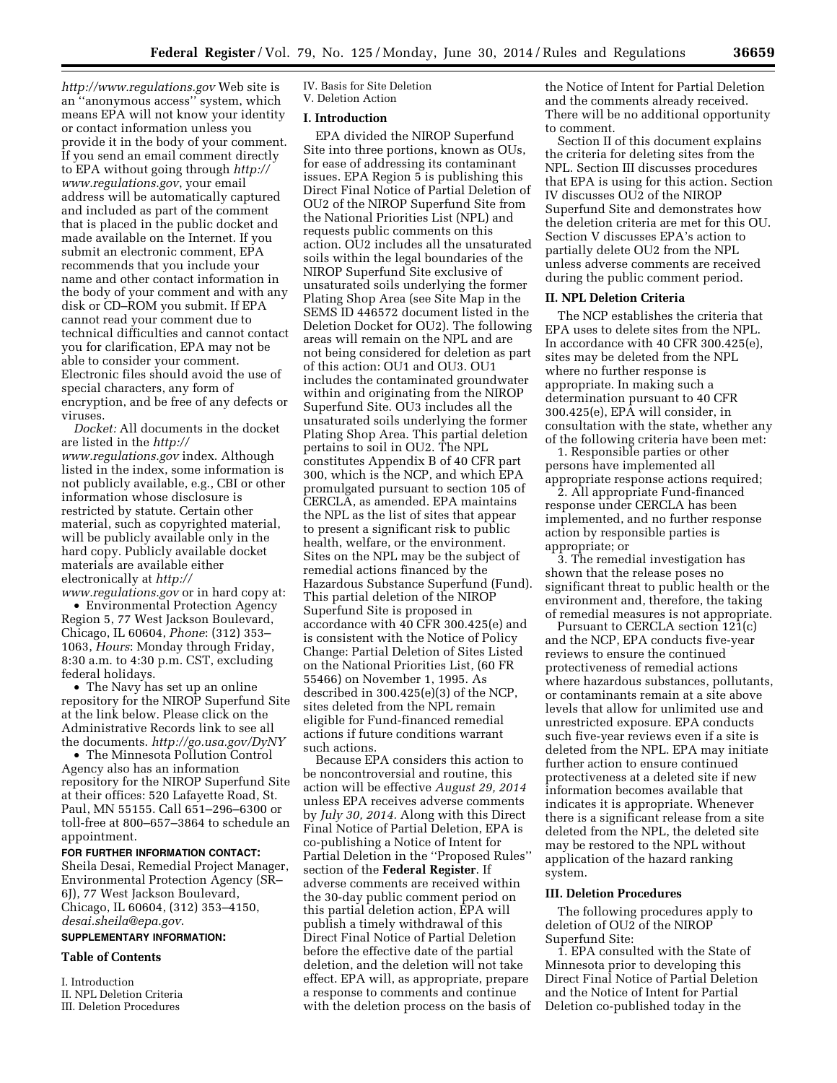*<http://www.regulations.gov>* Web site is an ''anonymous access'' system, which means EPA will not know your identity or contact information unless you provide it in the body of your comment. If you send an email comment directly to EPA without going through *[http://](http://www.regulations.gov) [www.regulations.gov](http://www.regulations.gov)*, your email address will be automatically captured and included as part of the comment that is placed in the public docket and made available on the Internet. If you submit an electronic comment, EPA recommends that you include your name and other contact information in the body of your comment and with any disk or CD–ROM you submit. If EPA cannot read your comment due to technical difficulties and cannot contact you for clarification, EPA may not be able to consider your comment. Electronic files should avoid the use of special characters, any form of encryption, and be free of any defects or viruses.

*Docket:* All documents in the docket are listed in the *[http://](http://www.regulations.gov) [www.regulations.gov](http://www.regulations.gov)* index. Although listed in the index, some information is not publicly available, e.g., CBI or other information whose disclosure is restricted by statute. Certain other material, such as copyrighted material, will be publicly available only in the hard copy. Publicly available docket materials are available either electronically at *[http://](http://www.regulations.gov)*

*[www.regulations.gov](http://www.regulations.gov)* or in hard copy at: • Environmental Protection Agency Region 5, 77 West Jackson Boulevard, Chicago, IL 60604, *Phone*: (312) 353– 1063, *Hours*: Monday through Friday, 8:30 a.m. to 4:30 p.m. CST, excluding federal holidays.

• The Navy has set up an online repository for the NIROP Superfund Site at the link below. Please click on the Administrative Records link to see all the documents. *<http://go.usa.gov/DyNY>*

• The Minnesota Pollution Control Agency also has an information repository for the NIROP Superfund Site at their offices: 520 Lafayette Road, St. Paul, MN 55155. Call 651–296–6300 or toll-free at 800–657–3864 to schedule an appointment.

#### **FOR FURTHER INFORMATION CONTACT:**

Sheila Desai, Remedial Project Manager, Environmental Protection Agency (SR– 6J), 77 West Jackson Boulevard, Chicago, IL 60604, (312) 353–4150, *[desai.sheila@epa.gov](mailto:desai.sheila@epa.gov)*.

# **SUPPLEMENTARY INFORMATION:**

### **Table of Contents**

I. Introduction II. NPL Deletion Criteria

#### III. Deletion Procedures

IV. Basis for Site Deletion V. Deletion Action

#### **I. Introduction**

EPA divided the NIROP Superfund Site into three portions, known as OUs, for ease of addressing its contaminant issues. EPA Region 5 is publishing this Direct Final Notice of Partial Deletion of OU2 of the NIROP Superfund Site from the National Priorities List (NPL) and requests public comments on this action. OU2 includes all the unsaturated soils within the legal boundaries of the NIROP Superfund Site exclusive of unsaturated soils underlying the former Plating Shop Area (see Site Map in the SEMS ID 446572 document listed in the Deletion Docket for OU2). The following areas will remain on the NPL and are not being considered for deletion as part of this action: OU1 and OU3. OU1 includes the contaminated groundwater within and originating from the NIROP Superfund Site. OU3 includes all the unsaturated soils underlying the former Plating Shop Area. This partial deletion pertains to soil in OU2. The NPL constitutes Appendix B of 40 CFR part 300, which is the NCP, and which EPA promulgated pursuant to section 105 of CERCLA, as amended. EPA maintains the NPL as the list of sites that appear to present a significant risk to public health, welfare, or the environment. Sites on the NPL may be the subject of remedial actions financed by the Hazardous Substance Superfund (Fund). This partial deletion of the NIROP Superfund Site is proposed in accordance with 40 CFR 300.425(e) and is consistent with the Notice of Policy Change: Partial Deletion of Sites Listed on the National Priorities List, (60 FR 55466) on November 1, 1995. As described in 300.425(e)(3) of the NCP, sites deleted from the NPL remain eligible for Fund-financed remedial actions if future conditions warrant such actions.

Because EPA considers this action to be noncontroversial and routine, this action will be effective *August 29, 2014*  unless EPA receives adverse comments by *July 30, 2014.* Along with this Direct Final Notice of Partial Deletion, EPA is co-publishing a Notice of Intent for Partial Deletion in the ''Proposed Rules'' section of the **Federal Register**. If adverse comments are received within the 30-day public comment period on this partial deletion action, EPA will publish a timely withdrawal of this Direct Final Notice of Partial Deletion before the effective date of the partial deletion, and the deletion will not take effect. EPA will, as appropriate, prepare a response to comments and continue with the deletion process on the basis of the Notice of Intent for Partial Deletion and the comments already received. There will be no additional opportunity to comment.

Section II of this document explains the criteria for deleting sites from the NPL. Section III discusses procedures that EPA is using for this action. Section IV discusses OU2 of the NIROP Superfund Site and demonstrates how the deletion criteria are met for this OU. Section V discusses EPA's action to partially delete OU2 from the NPL unless adverse comments are received during the public comment period.

### **II. NPL Deletion Criteria**

The NCP establishes the criteria that EPA uses to delete sites from the NPL. In accordance with 40 CFR 300.425(e), sites may be deleted from the NPL where no further response is appropriate. In making such a determination pursuant to 40 CFR 300.425(e), EPA will consider, in consultation with the state, whether any of the following criteria have been met:

1. Responsible parties or other persons have implemented all appropriate response actions required;

2. All appropriate Fund-financed response under CERCLA has been implemented, and no further response action by responsible parties is appropriate; or

3. The remedial investigation has shown that the release poses no significant threat to public health or the environment and, therefore, the taking of remedial measures is not appropriate.

Pursuant to CERCLA section 121(c) and the NCP, EPA conducts five-year reviews to ensure the continued protectiveness of remedial actions where hazardous substances, pollutants, or contaminants remain at a site above levels that allow for unlimited use and unrestricted exposure. EPA conducts such five-year reviews even if a site is deleted from the NPL. EPA may initiate further action to ensure continued protectiveness at a deleted site if new information becomes available that indicates it is appropriate. Whenever there is a significant release from a site deleted from the NPL, the deleted site may be restored to the NPL without application of the hazard ranking system.

### **III. Deletion Procedures**

The following procedures apply to deletion of OU2 of the NIROP Superfund Site:

1. EPA consulted with the State of Minnesota prior to developing this Direct Final Notice of Partial Deletion and the Notice of Intent for Partial Deletion co-published today in the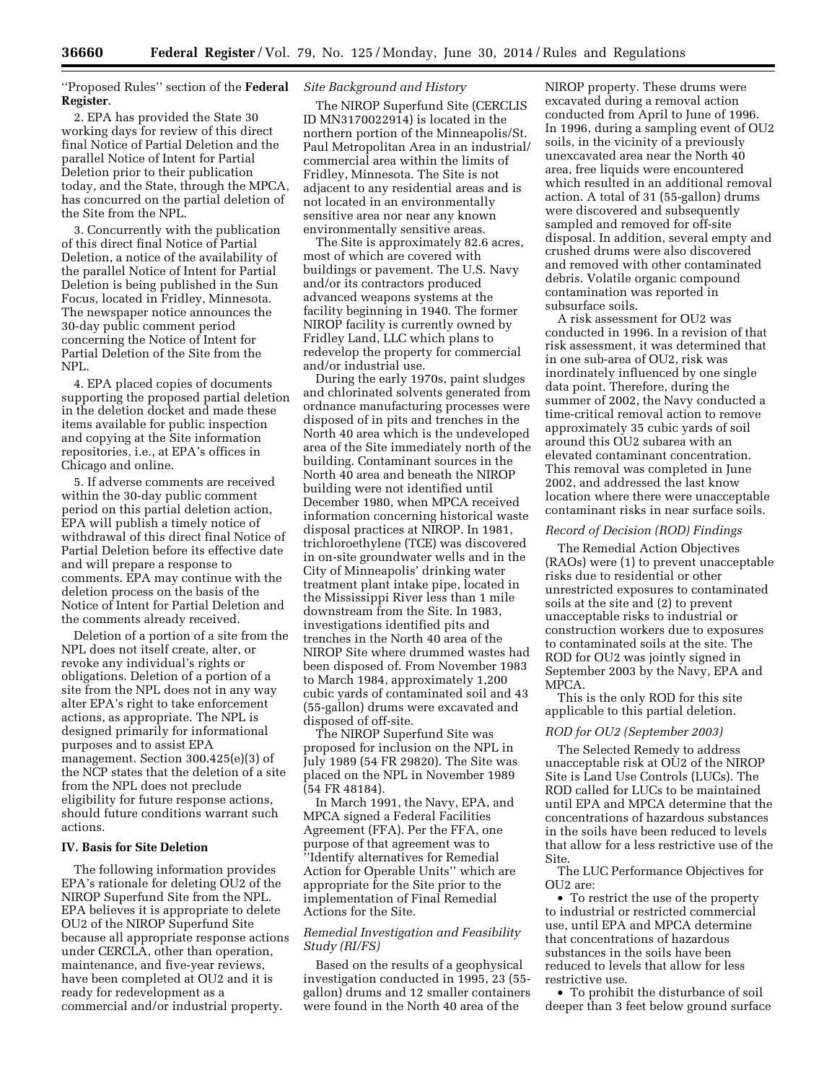''Proposed Rules'' section of the **Federal Register**.

2. EPA has provided the State 30 working days for review of this direct final Notice of Partial Deletion and the parallel Notice of Intent for Partial Deletion prior to their publication today, and the State, through the MPCA, has concurred on the partial deletion of the Site from the NPL.

3. Concurrently with the publication of this direct final Notice of Partial Deletion, a notice of the availability of the parallel Notice of Intent for Partial Deletion is being published in the Sun Focus, located in Fridley, Minnesota. The newspaper notice announces the 30-day public comment period concerning the Notice of Intent for Partial Deletion of the Site from the NPL.

4. EPA placed copies of documents supporting the proposed partial deletion in the deletion docket and made these items available for public inspection and copying at the Site information repositories, i.e., at EPA's offices in Chicago and online.

5. If adverse comments are received within the 30-day public comment period on this partial deletion action, EPA will publish a timely notice of withdrawal of this direct final Notice of Partial Deletion before its effective date and will prepare a response to comments. EPA may continue with the deletion process on the basis of the Notice of Intent for Partial Deletion and the comments already received.

Deletion of a portion of a site from the NPL does not itself create, alter, or revoke any individual's rights or obligations. Deletion of a portion of a site from the NPL does not in any way alter EPA's right to take enforcement actions, as appropriate. The NPL is designed primarily for informational purposes and to assist EPA management. Section 300.425(e)(3) of the NCP states that the deletion of a site from the NPL does not preclude eligibility for future response actions, should future conditions warrant such actions.

### **IV. Basis for Site Deletion**

The following information provides EPA's rationale for deleting OU2 of the NIROP Superfund Site from the NPL. EPA believes it is appropriate to delete OU2 of the NIROP Superfund Site because all appropriate response actions under CERCLA, other than operation, maintenance, and five-year reviews, have been completed at OU2 and it is ready for redevelopment as a commercial and/or industrial property.

### *Site Background and History*

The NIROP Superfund Site (CERCLIS ID MN3170022914) is located in the northern portion of the Minneapolis/St. Paul Metropolitan Area in an industrial/ commercial area within the limits of Fridley, Minnesota. The Site is not adjacent to any residential areas and is not located in an environmentally sensitive area nor near any known environmentally sensitive areas.

The Site is approximately 82.6 acres, most of which are covered with buildings or pavement. The U.S. Navy and/or its contractors produced advanced weapons systems at the facility beginning in 1940. The former NIROP facility is currently owned by Fridley Land, LLC which plans to redevelop the property for commercial and/or industrial use.

During the early 1970s, paint sludges and chlorinated solvents generated from ordnance manufacturing processes were disposed of in pits and trenches in the North 40 area which is the undeveloped area of the Site immediately north of the building. Contaminant sources in the North 40 area and beneath the NIROP building were not identified until December 1980, when MPCA received information concerning historical waste disposal practices at NIROP. In 1981, trichloroethylene (TCE) was discovered in on-site groundwater wells and in the City of Minneapolis' drinking water treatment plant intake pipe, located in the Mississippi River less than 1 mile downstream from the Site. In 1983, investigations identified pits and trenches in the North 40 area of the NIROP Site where drummed wastes had been disposed of. From November 1983 to March 1984, approximately 1,200 cubic yards of contaminated soil and 43 (55-gallon) drums were excavated and disposed of off-site.

The NIROP Superfund Site was proposed for inclusion on the NPL in July 1989 (54 FR 29820). The Site was placed on the NPL in November 1989 (54 FR 48184).

In March 1991, the Navy, EPA, and MPCA signed a Federal Facilities Agreement (FFA). Per the FFA, one purpose of that agreement was to ''Identify alternatives for Remedial Action for Operable Units'' which are appropriate for the Site prior to the implementation of Final Remedial Actions for the Site.

# *Remedial Investigation and Feasibility Study (RI/FS)*

Based on the results of a geophysical investigation conducted in 1995, 23 (55 gallon) drums and 12 smaller containers were found in the North 40 area of the

NIROP property. These drums were excavated during a removal action conducted from April to June of 1996. In 1996, during a sampling event of OU2 soils, in the vicinity of a previously unexcavated area near the North 40 area, free liquids were encountered which resulted in an additional removal action. A total of 31 (55-gallon) drums were discovered and subsequently sampled and removed for off-site disposal. In addition, several empty and crushed drums were also discovered and removed with other contaminated debris. Volatile organic compound contamination was reported in subsurface soils.

A risk assessment for OU2 was conducted in 1996. In a revision of that risk assessment, it was determined that in one sub-area of OU2, risk was inordinately influenced by one single data point. Therefore, during the summer of 2002, the Navy conducted a time-critical removal action to remove approximately 35 cubic yards of soil around this OU2 subarea with an elevated contaminant concentration. This removal was completed in June 2002, and addressed the last know location where there were unacceptable contaminant risks in near surface soils.

### *Record of Decision (ROD) Findings*

The Remedial Action Objectives (RAOs) were (1) to prevent unacceptable risks due to residential or other unrestricted exposures to contaminated soils at the site and (2) to prevent unacceptable risks to industrial or construction workers due to exposures to contaminated soils at the site. The ROD for OU2 was jointly signed in September 2003 by the Navy, EPA and MPCA.

This is the only ROD for this site applicable to this partial deletion.

#### *ROD for OU2 (September 2003)*

The Selected Remedy to address unacceptable risk at OU2 of the NIROP Site is Land Use Controls (LUCs). The ROD called for LUCs to be maintained until EPA and MPCA determine that the concentrations of hazardous substances in the soils have been reduced to levels that allow for a less restrictive use of the Site.

The LUC Performance Objectives for  $O<sub>U</sub>$  are:

• To restrict the use of the property to industrial or restricted commercial use, until EPA and MPCA determine that concentrations of hazardous substances in the soils have been reduced to levels that allow for less restrictive use.

• To prohibit the disturbance of soil deeper than 3 feet below ground surface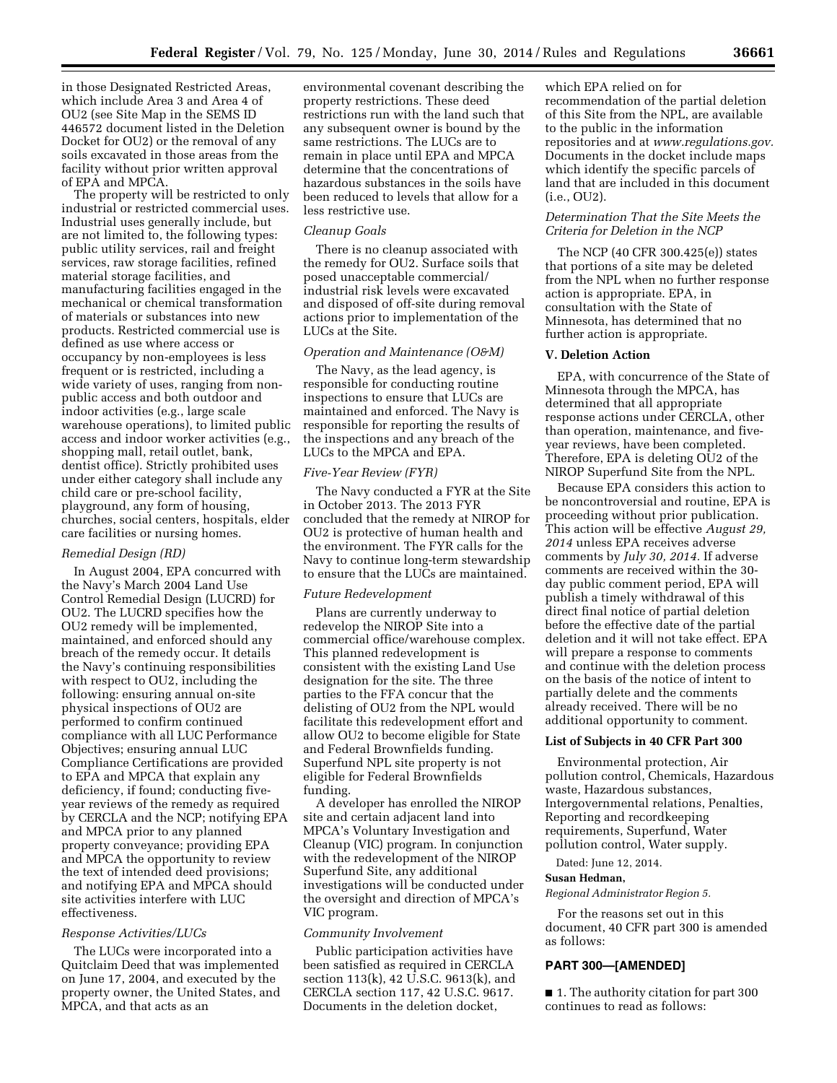in those Designated Restricted Areas, which include Area 3 and Area 4 of OU2 (see Site Map in the SEMS ID 446572 document listed in the Deletion Docket for OU2) or the removal of any soils excavated in those areas from the facility without prior written approval of EPA and MPCA.

The property will be restricted to only industrial or restricted commercial uses. Industrial uses generally include, but are not limited to, the following types: public utility services, rail and freight services, raw storage facilities, refined material storage facilities, and manufacturing facilities engaged in the mechanical or chemical transformation of materials or substances into new products. Restricted commercial use is defined as use where access or occupancy by non-employees is less frequent or is restricted, including a wide variety of uses, ranging from nonpublic access and both outdoor and indoor activities (e.g., large scale warehouse operations), to limited public access and indoor worker activities (e.g., shopping mall, retail outlet, bank, dentist office). Strictly prohibited uses under either category shall include any child care or pre-school facility, playground, any form of housing, churches, social centers, hospitals, elder care facilities or nursing homes.

### *Remedial Design (RD)*

In August 2004, EPA concurred with the Navy's March 2004 Land Use Control Remedial Design (LUCRD) for OU2. The LUCRD specifies how the OU2 remedy will be implemented, maintained, and enforced should any breach of the remedy occur. It details the Navy's continuing responsibilities with respect to OU2, including the following: ensuring annual on-site physical inspections of OU2 are performed to confirm continued compliance with all LUC Performance Objectives; ensuring annual LUC Compliance Certifications are provided to EPA and MPCA that explain any deficiency, if found; conducting fiveyear reviews of the remedy as required by CERCLA and the NCP; notifying EPA and MPCA prior to any planned property conveyance; providing EPA and MPCA the opportunity to review the text of intended deed provisions; and notifying EPA and MPCA should site activities interfere with LUC effectiveness.

### *Response Activities/LUCs*

The LUCs were incorporated into a Quitclaim Deed that was implemented on June 17, 2004, and executed by the property owner, the United States, and MPCA, and that acts as an

environmental covenant describing the property restrictions. These deed restrictions run with the land such that any subsequent owner is bound by the same restrictions. The LUCs are to remain in place until EPA and MPCA determine that the concentrations of hazardous substances in the soils have been reduced to levels that allow for a less restrictive use.

### *Cleanup Goals*

There is no cleanup associated with the remedy for OU2. Surface soils that posed unacceptable commercial/ industrial risk levels were excavated and disposed of off-site during removal actions prior to implementation of the LUCs at the Site.

# *Operation and Maintenance (O&M)*

The Navy, as the lead agency, is responsible for conducting routine inspections to ensure that LUCs are maintained and enforced. The Navy is responsible for reporting the results of the inspections and any breach of the LUCs to the MPCA and EPA.

#### *Five-Year Review (FYR)*

The Navy conducted a FYR at the Site in October 2013. The 2013 FYR concluded that the remedy at NIROP for OU2 is protective of human health and the environment. The FYR calls for the Navy to continue long-term stewardship to ensure that the LUCs are maintained.

#### *Future Redevelopment*

Plans are currently underway to redevelop the NIROP Site into a commercial office/warehouse complex. This planned redevelopment is consistent with the existing Land Use designation for the site. The three parties to the FFA concur that the delisting of OU2 from the NPL would facilitate this redevelopment effort and allow OU2 to become eligible for State and Federal Brownfields funding. Superfund NPL site property is not eligible for Federal Brownfields funding.

A developer has enrolled the NIROP site and certain adjacent land into MPCA's Voluntary Investigation and Cleanup (VIC) program. In conjunction with the redevelopment of the NIROP Superfund Site, any additional investigations will be conducted under the oversight and direction of MPCA's VIC program.

#### *Community Involvement*

Public participation activities have been satisfied as required in CERCLA section 113(k), 42 U.S.C. 9613(k), and CERCLA section 117, 42 U.S.C. 9617. Documents in the deletion docket,

which EPA relied on for recommendation of the partial deletion of this Site from the NPL, are available to the public in the information repositories and at *[www.regulations.gov.](http://www.regulations.gov)*  Documents in the docket include maps which identify the specific parcels of land that are included in this document (i.e., OU2).

# *Determination That the Site Meets the Criteria for Deletion in the NCP*

The NCP (40 CFR 300.425(e)) states that portions of a site may be deleted from the NPL when no further response action is appropriate. EPA, in consultation with the State of Minnesota, has determined that no further action is appropriate.

#### **V. Deletion Action**

EPA, with concurrence of the State of Minnesota through the MPCA, has determined that all appropriate response actions under CERCLA, other than operation, maintenance, and fiveyear reviews, have been completed. Therefore, EPA is deleting OU2 of the NIROP Superfund Site from the NPL.

Because EPA considers this action to be noncontroversial and routine, EPA is proceeding without prior publication. This action will be effective *August 29, 2014* unless EPA receives adverse comments by *July 30, 2014.* If adverse comments are received within the 30 day public comment period, EPA will publish a timely withdrawal of this direct final notice of partial deletion before the effective date of the partial deletion and it will not take effect. EPA will prepare a response to comments and continue with the deletion process on the basis of the notice of intent to partially delete and the comments already received. There will be no additional opportunity to comment.

### **List of Subjects in 40 CFR Part 300**

Environmental protection, Air pollution control, Chemicals, Hazardous waste, Hazardous substances, Intergovernmental relations, Penalties, Reporting and recordkeeping requirements, Superfund, Water pollution control, Water supply.

Dated: June 12, 2014.

# **Susan Hedman,**

*Regional Administrator Region 5.* 

For the reasons set out in this document, 40 CFR part 300 is amended as follows:

### **PART 300—[AMENDED]**

■ 1. The authority citation for part 300 continues to read as follows: